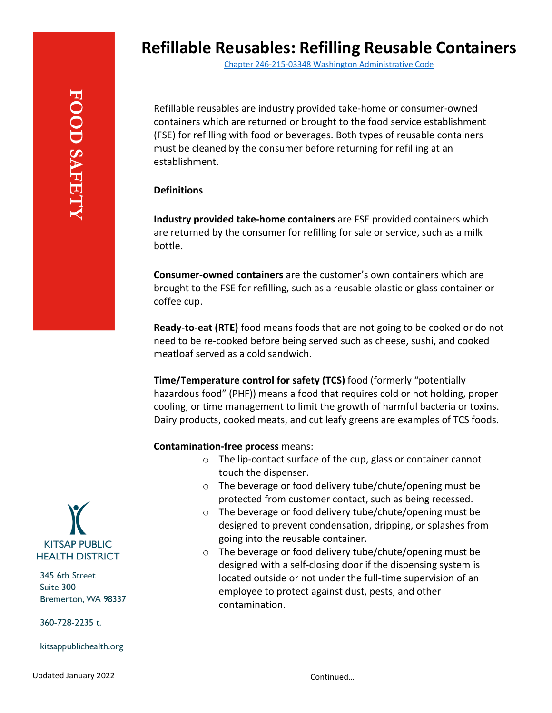Chapter 246-215-03348 [Washington Administrative Code](https://app.leg.wa.gov/WAC/default.aspx?cite=246-215-03348)

Refillable reusables are industry provided take-home or consumer-owned containers which are returned or brought to the food service establishment (FSE) for refilling with food or beverages. Both types of reusable containers must be cleaned by the consumer before returning for refilling at an establishment.

## **Definitions**

**Industry provided take-home containers** are FSE provided containers which are returned by the consumer for refilling for sale or service, such as a milk bottle.

**Consumer-owned containers** are the customer's own containers which are brought to the FSE for refilling, such as a reusable plastic or glass container or coffee cup.

**Ready-to-eat (RTE)** food means foods that are not going to be cooked or do not need to be re-cooked before being served such as cheese, sushi, and cooked meatloaf served as a cold sandwich.

**Time/Temperature control for safety (TCS)** food (formerly "potentially hazardous food" (PHF)) means a food that requires cold or hot holding, proper cooling, or time management to limit the growth of harmful bacteria or toxins. Dairy products, cooked meats, and cut leafy greens are examples of TCS foods.

## **Contamination-free process** means:

- o The lip-contact surface of the cup, glass or container cannot touch the dispenser.
- o The beverage or food delivery tube/chute/opening must be protected from customer contact, such as being recessed.
- o The beverage or food delivery tube/chute/opening must be designed to prevent condensation, dripping, or splashes from going into the reusable container.
- o The beverage or food delivery tube/chute/opening must be designed with a self-closing door if the dispensing system is located outside or not under the full-time supervision of an employee to protect against dust, pests, and other contamination.



345 6th Street Suite 300 Bremerton, WA 98337

360-728-2235 t.

kitsappublichealth.org